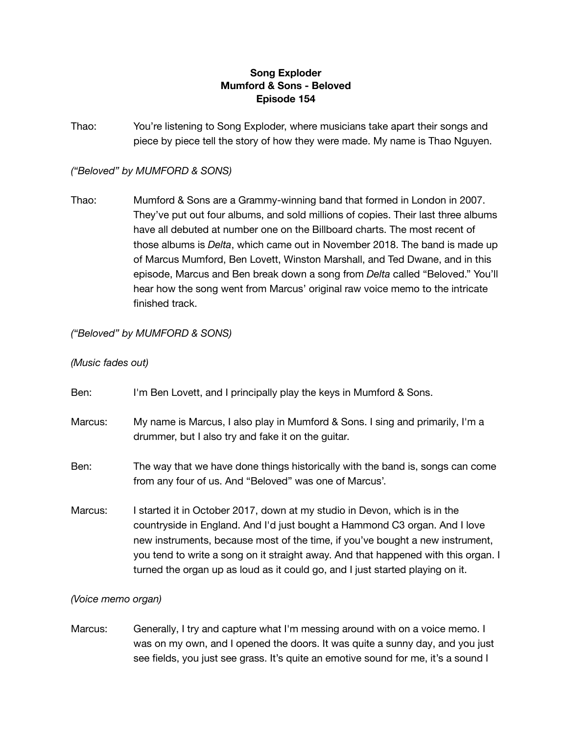# **Song Exploder Mumford & Sons - Beloved Episode 154**

Thao: You're listening to Song Exploder, where musicians take apart their songs and piece by piece tell the story of how they were made. My name is Thao Nguyen.

## *("Beloved" by MUMFORD & SONS)*

Thao: Mumford & Sons are a Grammy-winning band that formed in London in 2007. They've put out four albums, and sold millions of copies. Their last three albums have all debuted at number one on the Billboard charts. The most recent of those albums is *Delta*, which came out in November 2018. The band is made up of Marcus Mumford, Ben Lovett, Winston Marshall, and Ted Dwane, and in this episode, Marcus and Ben break down a song from *Delta* called "Beloved." You'll hear how the song went from Marcus' original raw voice memo to the intricate finished track.

# *("Beloved" by MUMFORD & SONS)*

#### *(Music fades out)*

- Ben: I'm Ben Lovett, and I principally play the keys in Mumford & Sons. Marcus: My name is Marcus, I also play in Mumford & Sons. I sing and primarily, I'm a drummer, but I also try and fake it on the guitar. Ben: The way that we have done things historically with the band is, songs can come from any four of us. And "Beloved" was one of Marcus'. Marcus: I started it in October 2017, down at my studio in Devon, which is in the
- countryside in England. And I'd just bought a Hammond C3 organ. And I love new instruments, because most of the time, if you've bought a new instrument, you tend to write a song on it straight away. And that happened with this organ. I turned the organ up as loud as it could go, and I just started playing on it.

### *(Voice memo organ)*

Marcus: Generally, I try and capture what I'm messing around with on a voice memo. I was on my own, and I opened the doors. It was quite a sunny day, and you just see fields, you just see grass. It's quite an emotive sound for me, it's a sound I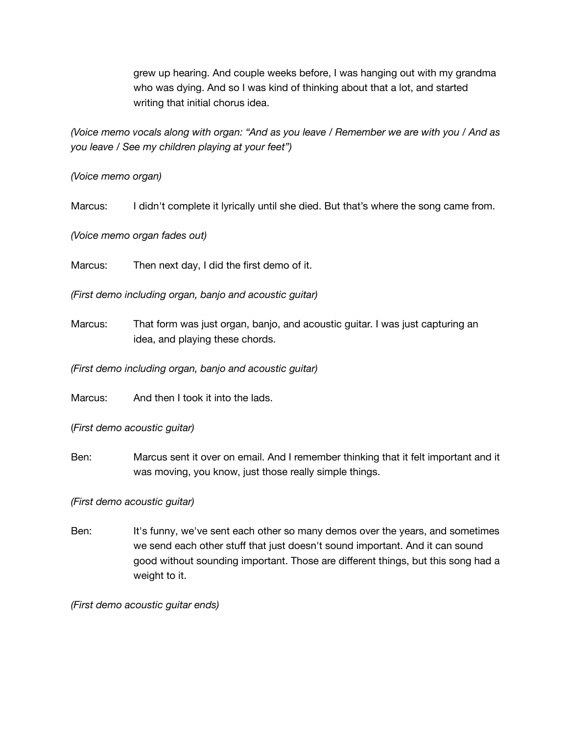grew up hearing. And couple weeks before, I was hanging out with my grandma who was dying. And so I was kind of thinking about that a lot, and started writing that initial chorus idea.

*(Voice memo vocals along with organ: "And as you leave / Remember we are with you / And as you leave / See my children playing at your feet")*

*(Voice memo organ)*

Marcus: I didn't complete it lyrically until she died. But that's where the song came from.

*(Voice memo organ fades out)*

Marcus: Then next day, I did the first demo of it.

*(First demo including organ, banjo and acoustic guitar)*

Marcus: That form was just organ, banjo, and acoustic guitar. I was just capturing an idea, and playing these chords.

*(First demo including organ, banjo and acoustic guitar)*

Marcus: And then I took it into the lads.

(*First demo acoustic guitar)*

Ben: Marcus sent it over on email. And I remember thinking that it felt important and it was moving, you know, just those really simple things.

*(First demo acoustic guitar)*

Ben: It's funny, we've sent each other so many demos over the years, and sometimes we send each other stuff that just doesn't sound important. And it can sound good without sounding important. Those are different things, but this song had a weight to it.

*(First demo acoustic guitar ends)*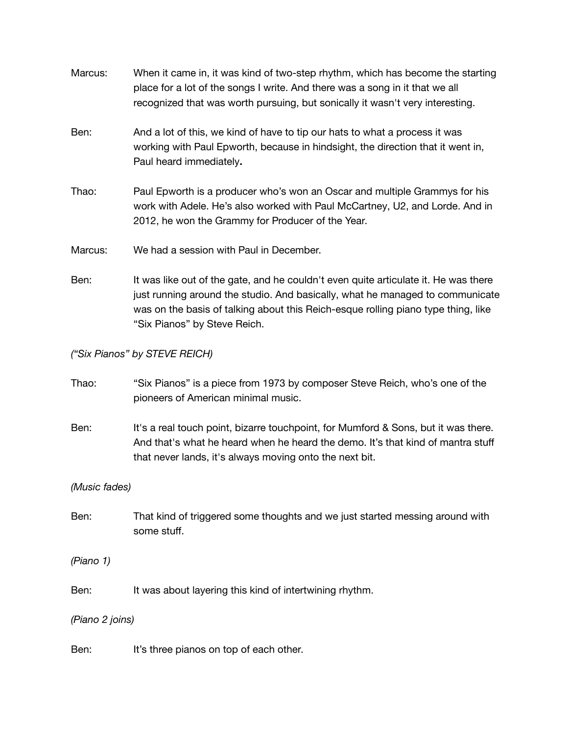| Marcus:     | When it came in, it was kind of two-step rhythm, which has become the starting<br>place for a lot of the songs I write. And there was a song in it that we all<br>recognized that was worth pursuing, but sonically it wasn't very interesting. |
|-------------|-------------------------------------------------------------------------------------------------------------------------------------------------------------------------------------------------------------------------------------------------|
| Ben:        | And a lot of this, we kind of have to tip our hats to what a process it was<br>working with Paul Epworth, because in hindsight, the direction that it went in,<br>Paul heard immediately.                                                       |
| Thao:       | Paul Epworth is a producer who's won an Oscar and multiple Grammys for his<br>work with Adele. He's also worked with Paul McCartney, U2, and Lorde. And in<br>2012, he won the Grammy for Producer of the Year.                                 |
| Marcus:     | We had a session with Paul in December.                                                                                                                                                                                                         |
| <u>n.,.</u> | لمعمولة ومبررها البائية والمناسم ويلنينه ويمريم الماماريوم ومالومون والمواقع والمترام وراثا ومريريا                                                                                                                                             |

Ben: It was like out of the gate, and he couldn't even quite articulate it. He was there just running around the studio. And basically, what he managed to communicate was on the basis of talking about this Reich-esque rolling piano type thing, like "Six Pianos" by Steve Reich.

*("Six Pianos" by STEVE REICH)*

- Thao: "Six Pianos" is a piece from 1973 by composer Steve Reich, who's one of the pioneers of American minimal music.
- Ben: It's a real touch point, bizarre touchpoint, for Mumford & Sons, but it was there. And that's what he heard when he heard the demo. It's that kind of mantra stuff that never lands, it's always moving onto the next bit.

*(Music fades)*

Ben: That kind of triggered some thoughts and we just started messing around with some stuff.

*(Piano 1)*

Ben: It was about layering this kind of intertwining rhythm.

*(Piano 2 joins)*

Ben: It's three pianos on top of each other.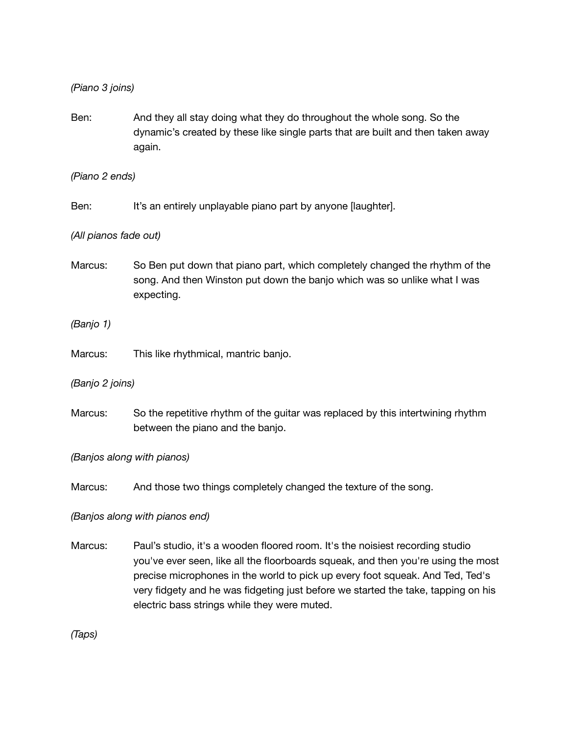*(Piano 3 joins)*

Ben: And they all stay doing what they do throughout the whole song. So the dynamic's created by these like single parts that are built and then taken away again.

*(Piano 2 ends)*

Ben: It's an entirely unplayable piano part by anyone [laughter].

### *(All pianos fade out)*

Marcus: So Ben put down that piano part, which completely changed the rhythm of the song. And then Winston put down the banjo which was so unlike what I was expecting.

*(Banjo 1)*

Marcus: This like rhythmical, mantric banjo.

*(Banjo 2 joins)*

Marcus: So the repetitive rhythm of the guitar was replaced by this intertwining rhythm between the piano and the banjo.

*(Banjos along with pianos)*

Marcus: And those two things completely changed the texture of the song.

*(Banjos along with pianos end)*

Marcus: Paul's studio, it's a wooden floored room. It's the noisiest recording studio you've ever seen, like all the floorboards squeak, and then you're using the most precise microphones in the world to pick up every foot squeak. And Ted, Ted's very fidgety and he was fidgeting just before we started the take, tapping on his electric bass strings while they were muted.

*(Taps)*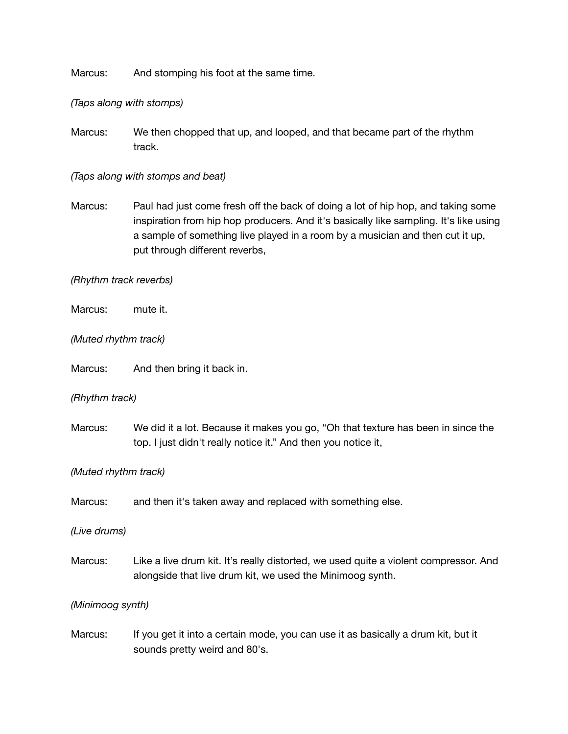Marcus: And stomping his foot at the same time.

*(Taps along with stomps)*

Marcus: We then chopped that up, and looped, and that became part of the rhythm track.

*(Taps along with stomps and beat)*

Marcus: Paul had just come fresh off the back of doing a lot of hip hop, and taking some inspiration from hip hop producers. And it's basically like sampling. It's like using a sample of something live played in a room by a musician and then cut it up, put through different reverbs,

#### *(Rhythm track reverbs)*

Marcus: mute it.

*(Muted rhythm track)*

Marcus: And then bring it back in.

*(Rhythm track)*

Marcus: We did it a lot. Because it makes you go, "Oh that texture has been in since the top. I just didn't really notice it." And then you notice it,

### *(Muted rhythm track)*

Marcus: and then it's taken away and replaced with something else.

*(Live drums)*

Marcus: Like a live drum kit. It's really distorted, we used quite a violent compressor. And alongside that live drum kit, we used the Minimoog synth.

*(Minimoog synth)*

Marcus: If you get it into a certain mode, you can use it as basically a drum kit, but it sounds pretty weird and 80's.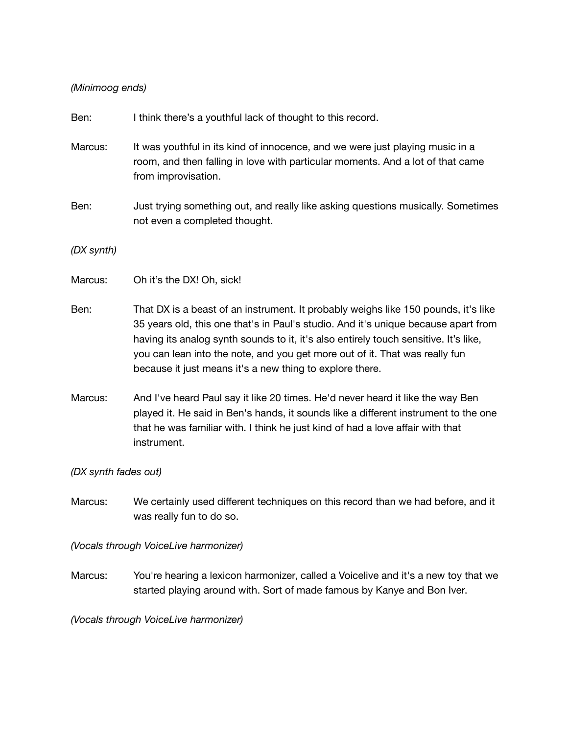# *(Minimoog ends)*

| Ben:                 | I think there's a youthful lack of thought to this record.                                                                                                                                                                                                                                                                                                                                                  |
|----------------------|-------------------------------------------------------------------------------------------------------------------------------------------------------------------------------------------------------------------------------------------------------------------------------------------------------------------------------------------------------------------------------------------------------------|
| Marcus:              | It was youthful in its kind of innocence, and we were just playing music in a<br>room, and then falling in love with particular moments. And a lot of that came<br>from improvisation.                                                                                                                                                                                                                      |
| Ben:                 | Just trying something out, and really like asking questions musically. Sometimes<br>not even a completed thought.                                                                                                                                                                                                                                                                                           |
| (DX synth)           |                                                                                                                                                                                                                                                                                                                                                                                                             |
| Marcus:              | Oh it's the DX! Oh, sick!                                                                                                                                                                                                                                                                                                                                                                                   |
| Ben:                 | That DX is a beast of an instrument. It probably weighs like 150 pounds, it's like<br>35 years old, this one that's in Paul's studio. And it's unique because apart from<br>having its analog synth sounds to it, it's also entirely touch sensitive. It's like,<br>you can lean into the note, and you get more out of it. That was really fun<br>because it just means it's a new thing to explore there. |
| Marcus:              | And I've heard Paul say it like 20 times. He'd never heard it like the way Ben<br>played it. He said in Ben's hands, it sounds like a different instrument to the one<br>that he was familiar with. I think he just kind of had a love affair with that<br>instrument.                                                                                                                                      |
| (DX synth fades out) |                                                                                                                                                                                                                                                                                                                                                                                                             |
| Marcus:              | We certainly used different techniques on this record than we had before, and it<br>was really fun to do so.                                                                                                                                                                                                                                                                                                |
|                      | (Vocals through VoiceLive harmonizer)                                                                                                                                                                                                                                                                                                                                                                       |

Marcus: You're hearing a lexicon harmonizer, called a Voicelive and it's a new toy that we started playing around with. Sort of made famous by Kanye and Bon Iver.

*(Vocals through VoiceLive harmonizer)*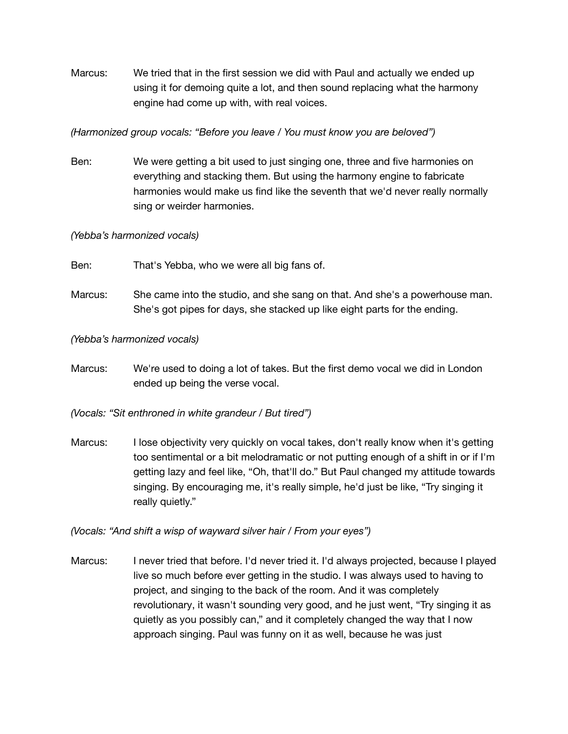Marcus: We tried that in the first session we did with Paul and actually we ended up using it for demoing quite a lot, and then sound replacing what the harmony engine had come up with, with real voices.

## *(Harmonized group vocals: "Before you leave / You must know you are beloved")*

Ben: We were getting a bit used to just singing one, three and five harmonies on everything and stacking them. But using the harmony engine to fabricate harmonies would make us find like the seventh that we'd never really normally sing or weirder harmonies.

### *(Yebba's harmonized vocals)*

- Ben: That's Yebba, who we were all big fans of.
- Marcus: She came into the studio, and she sang on that. And she's a powerhouse man. She's got pipes for days, she stacked up like eight parts for the ending.

# *(Yebba's harmonized vocals)*

Marcus: We're used to doing a lot of takes. But the first demo vocal we did in London ended up being the verse vocal.

*(Vocals: "Sit enthroned in white grandeur / But tired")*

Marcus: I lose objectivity very quickly on vocal takes, don't really know when it's getting too sentimental or a bit melodramatic or not putting enough of a shift in or if I'm getting lazy and feel like, "Oh, that'll do." But Paul changed my attitude towards singing. By encouraging me, it's really simple, he'd just be like, "Try singing it really quietly."

*(Vocals: "And shift a wisp of wayward silver hair / From your eyes")*

Marcus: I never tried that before. I'd never tried it. I'd always projected, because I played live so much before ever getting in the studio. I was always used to having to project, and singing to the back of the room. And it was completely revolutionary, it wasn't sounding very good, and he just went, "Try singing it as quietly as you possibly can," and it completely changed the way that I now approach singing. Paul was funny on it as well, because he was just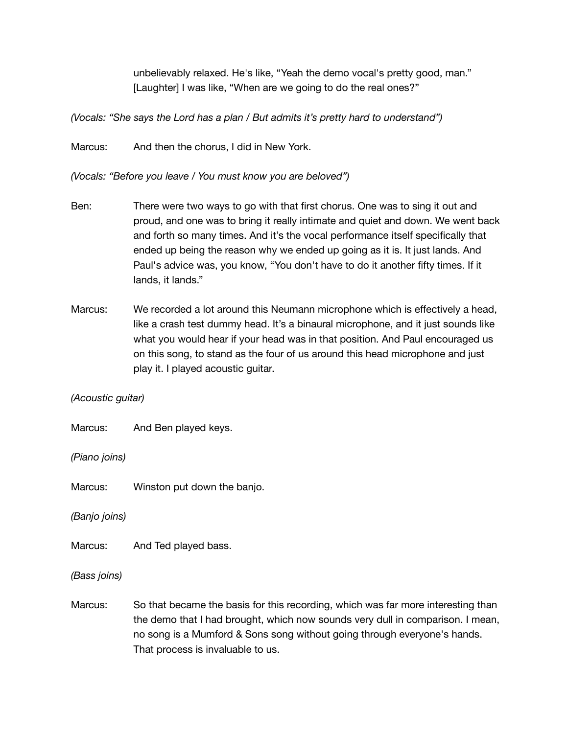unbelievably relaxed. He's like, "Yeah the demo vocal's pretty good, man." [Laughter] I was like, "When are we going to do the real ones?"

*(Vocals: "She says the Lord has a plan / But admits it's pretty hard to understand")*

Marcus: And then the chorus, I did in New York.

*(Vocals: "Before you leave / You must know you are beloved")*

- Ben: There were two ways to go with that first chorus. One was to sing it out and proud, and one was to bring it really intimate and quiet and down. We went back and forth so many times. And it's the vocal performance itself specifically that ended up being the reason why we ended up going as it is. It just lands. And Paul's advice was, you know, "You don't have to do it another fifty times. If it lands, it lands."
- Marcus: We recorded a lot around this Neumann microphone which is effectively a head, like a crash test dummy head. It's a binaural microphone, and it just sounds like what you would hear if your head was in that position. And Paul encouraged us on this song, to stand as the four of us around this head microphone and just play it. I played acoustic guitar.

### *(Acoustic guitar)*

Marcus: And Ben played keys.

*(Piano joins)*

Marcus: Winston put down the banjo.

*(Banjo joins)*

Marcus: And Ted played bass.

*(Bass joins)*

Marcus: So that became the basis for this recording, which was far more interesting than the demo that I had brought, which now sounds very dull in comparison. I mean, no song is a Mumford & Sons song without going through everyone's hands. That process is invaluable to us.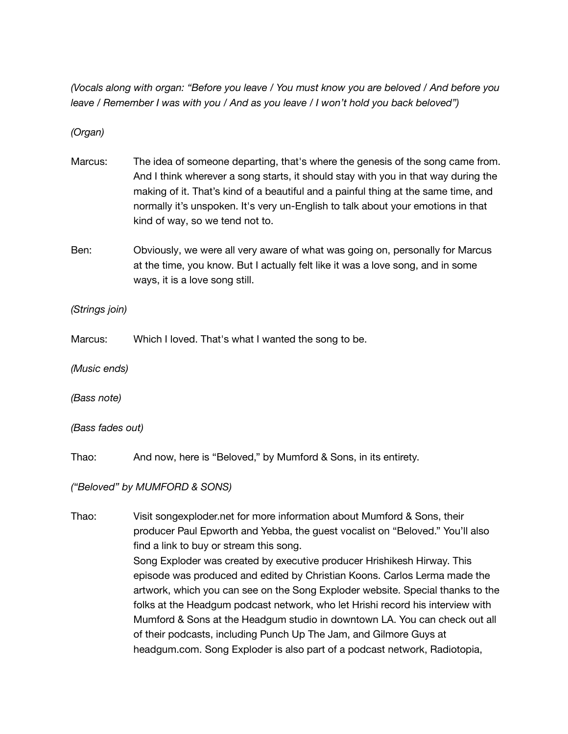*(Vocals along with organ: "Before you leave / You must know you are beloved / And before you leave / Remember I was with you / And as you leave / I won't hold you back beloved")*

*(Organ)*

- Marcus: The idea of someone departing, that's where the genesis of the song came from. And I think wherever a song starts, it should stay with you in that way during the making of it. That's kind of a beautiful and a painful thing at the same time, and normally it's unspoken. It's very un-English to talk about your emotions in that kind of way, so we tend not to.
- Ben: Obviously, we were all very aware of what was going on, personally for Marcus at the time, you know. But I actually felt like it was a love song, and in some ways, it is a love song still.

*(Strings join)*

Marcus: Which I loved. That's what I wanted the song to be.

*(Music ends)*

*(Bass note)*

*(Bass fades out)*

Thao: And now, here is "Beloved," by Mumford & Sons, in its entirety.

*("Beloved" by MUMFORD & SONS)*

Thao: Visit songexploder.net for more information about Mumford & Sons, their producer Paul Epworth and Yebba, the guest vocalist on "Beloved." You'll also find a link to buy or stream this song. Song Exploder was created by executive producer Hrishikesh Hirway. This episode was produced and edited by Christian Koons. Carlos Lerma made the artwork, which you can see on the Song Exploder website. Special thanks to the folks at the Headgum podcast network, who let Hrishi record his interview with Mumford & Sons at the Headgum studio in downtown LA. You can check out all of their podcasts, including Punch Up The Jam, and Gilmore Guys at headgum.com. Song Exploder is also part of a podcast network, Radiotopia,